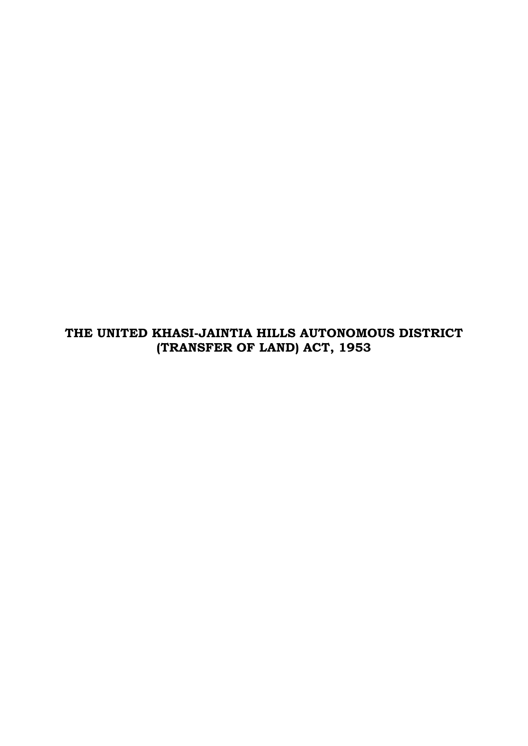**THE UNITED KHASI-JAINTIA HILLS AUTONOMOUS DISTRICT (TRANSFER OF LAND) ACT, 1953**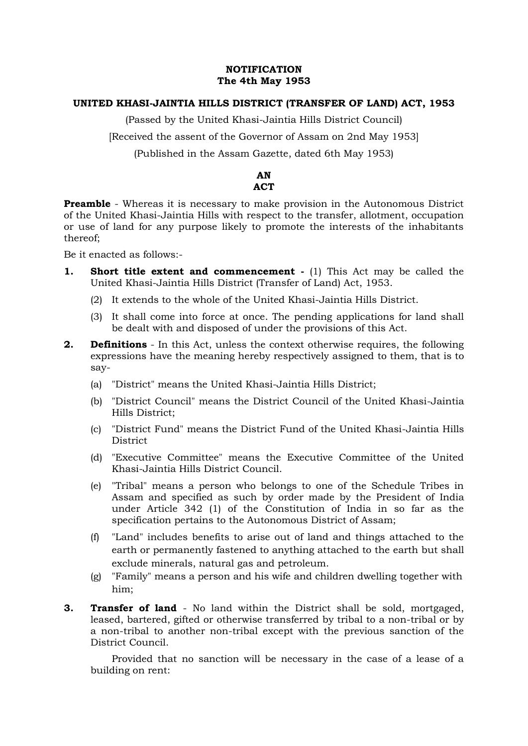## **NOTIFICATION The 4th May 1953**

## **UNITED KHASI-JAINTIA HILLS DISTRICT (TRANSFER OF LAND) ACT, 1953**

(Passed by the United Khasi-Jaintia Hills District Council)

[Received the assent of the Governor of Assam on 2nd May 1953]

(Published in the Assam Gazette, dated 6th May 1953)

# **AN ACT**

**Preamble** - Whereas it is necessary to make provision in the Autonomous District of the United Khasi-Jaintia Hills with respect to the transfer, allotment, occupation or use of land for any purpose likely to promote the interests of the inhabitants thereof;

Be it enacted as follows:-

- **1. Short title extent and commencement -** (1) This Act may be called the United Khasi-Jaintia Hills District (Transfer of Land) Act, 1953.
	- (2) It extends to the whole of the United Khasi-Jaintia Hills District.
	- (3) It shall come into force at once. The pending applications for land shall be dealt with and disposed of under the provisions of this Act.
- **2. Definitions** In this Act, unless the context otherwise requires, the following expressions have the meaning hereby respectively assigned to them, that is to say-
	- (a) "District" means the United Khasi-Jaintia Hills District;
	- (b) "District Council" means the District Council of the United Khasi-Jaintia Hills District;
	- (c) "District Fund" means the District Fund of the United Khasi-Jaintia Hills District
	- (d) "Executive Committee" means the Executive Committee of the United Khasi-Jaintia Hills District Council.
	- (e) "Tribal" means a person who belongs to one of the Schedule Tribes in Assam and specified as such by order made by the President of India under Article 342 (1) of the Constitution of India in so far as the specification pertains to the Autonomous District of Assam;
	- (f) "Land" includes benefits to arise out of land and things attached to the earth or permanently fastened to anything attached to the earth but shall exclude minerals, natural gas and petroleum.
	- (g) "Family" means a person and his wife and children dwelling together with him;
- **3. Transfer of land**  No land within the District shall be sold, mortgaged, leased, bartered, gifted or otherwise transferred by tribal to a non-tribal or by a non-tribal to another non-tribal except with the previous sanction of the District Council.

Provided that no sanction will be necessary in the case of a lease of a building on rent: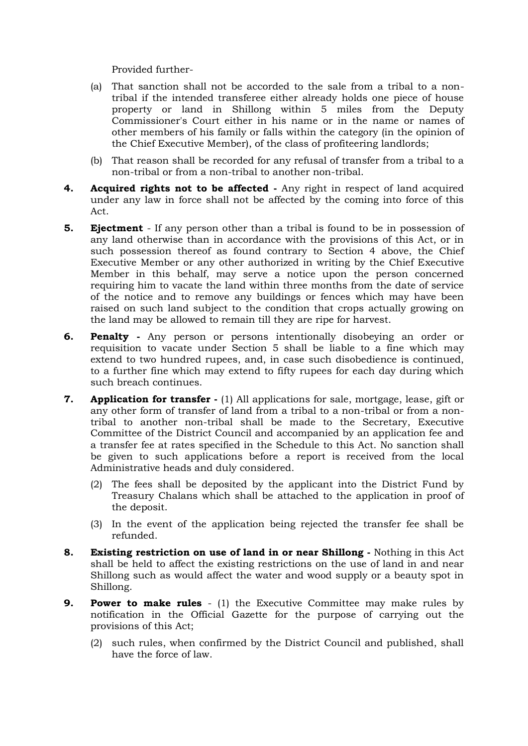Provided further-

- (a) That sanction shall not be accorded to the sale from a tribal to a nontribal if the intended transferee either already holds one piece of house property or land in Shillong within 5 miles from the Deputy Commissioner's Court either in his name or in the name or names of other members of his family or falls within the category (in the opinion of the Chief Executive Member), of the class of profiteering landlords;
- (b) That reason shall be recorded for any refusal of transfer from a tribal to a non-tribal or from a non-tribal to another non-tribal.
- **4. Acquired rights not to be affected -** Any right in respect of land acquired under any law in force shall not be affected by the coming into force of this Act.
- **5. Ejectment**  If any person other than a tribal is found to be in possession of any land otherwise than in accordance with the provisions of this Act, or in such possession thereof as found contrary to Section 4 above, the Chief Executive Member or any other authorized in writing by the Chief Executive Member in this behalf, may serve a notice upon the person concerned requiring him to vacate the land within three months from the date of service of the notice and to remove any buildings or fences which may have been raised on such land subject to the condition that crops actually growing on the land may be allowed to remain till they are ripe for harvest.
- **6. Penalty -** Any person or persons intentionally disobeying an order or requisition to vacate under Section 5 shall be liable to a fine which may extend to two hundred rupees, and, in case such disobedience is continued, to a further fine which may extend to fifty rupees for each day during which such breach continues.
- **7. Application for transfer -** (1) All applications for sale, mortgage, lease, gift or any other form of transfer of land from a tribal to a non-tribal or from a nontribal to another non-tribal shall be made to the Secretary, Executive Committee of the District Council and accompanied by an application fee and a transfer fee at rates specified in the Schedule to this Act. No sanction shall be given to such applications before a report is received from the local Administrative heads and duly considered.
	- (2) The fees shall be deposited by the applicant into the District Fund by Treasury Chalans which shall be attached to the application in proof of the deposit.
	- (3) In the event of the application being rejected the transfer fee shall be refunded.
- **8. Existing restriction on use of land in or near Shillong -** Nothing in this Act shall be held to affect the existing restrictions on the use of land in and near Shillong such as would affect the water and wood supply or a beauty spot in Shillong.
- **9. Power to make rules** (1) the Executive Committee may make rules by notification in the Official Gazette for the purpose of carrying out the provisions of this Act;
	- (2) such rules, when confirmed by the District Council and published, shall have the force of law.